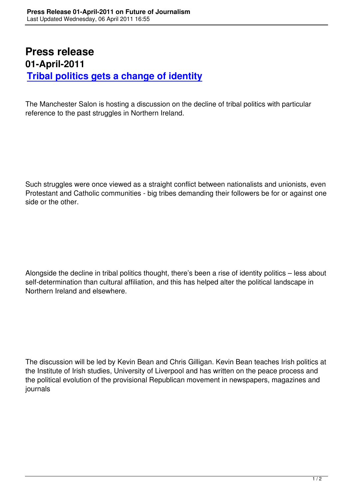## **Press release 01-April-2011 Tribal politics gets a change of identity**

[The Manchester Salon is hosting a discussion on the dec](decline-of-tribal-politics-rise-of-identity-politics-april-2011.html)line of tribal politics with particular reference to the past struggles in Northern Ireland.

Such struggles were once viewed as a straight conflict between nationalists and unionists, even Protestant and Catholic communities - big tribes demanding their followers be for or against one side or the other.

Alongside the decline in tribal politics thought, there's been a rise of identity politics – less about self-determination than cultural affiliation, and this has helped alter the political landscape in Northern Ireland and elsewhere.

The discussion will be led by Kevin Bean and Chris Gilligan. Kevin Bean teaches Irish politics at the Institute of Irish studies, University of Liverpool and has written on the peace process and the political evolution of the provisional Republican movement in newspapers, magazines and journals